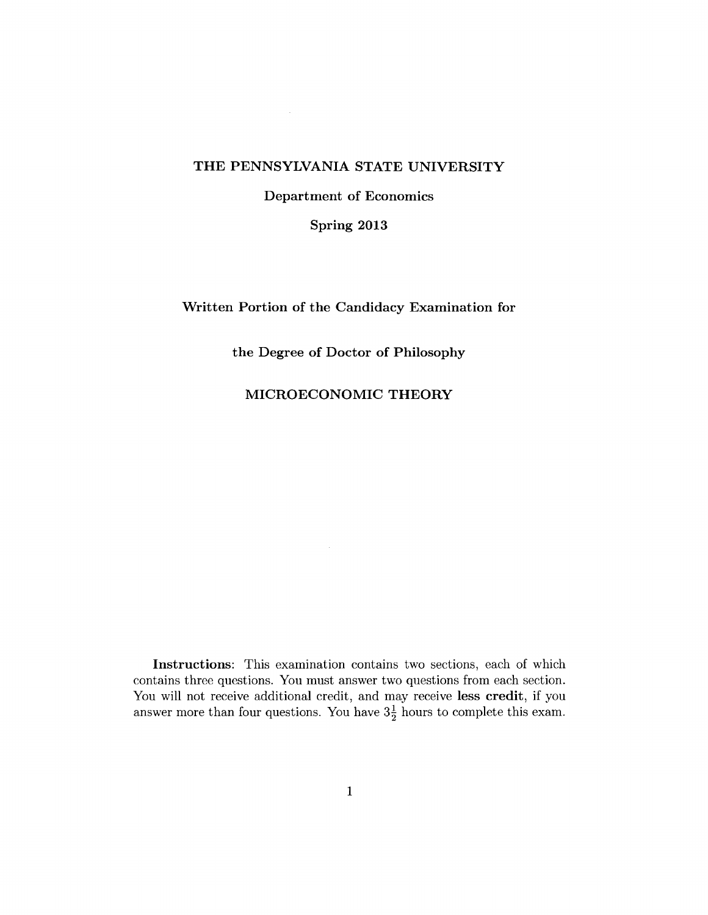## THE PENNSYLVANIA STATE UNIVERSITY

 $\sim 10^{11}$ 

Department of Economics

Spring 2013

Written Portion of the Candidacy Examination for

the Degree of Doctor of Philosophy

MICROECONOMIC THEORY

Instructions: This examination contains two sections, each of which contains three questions. You must answer two questions from each section. You will not receive additional credit, and may receive less credit, if you answer more than four questions. You have  $3\frac{1}{2}$  hours to complete this exam.

 $\sim$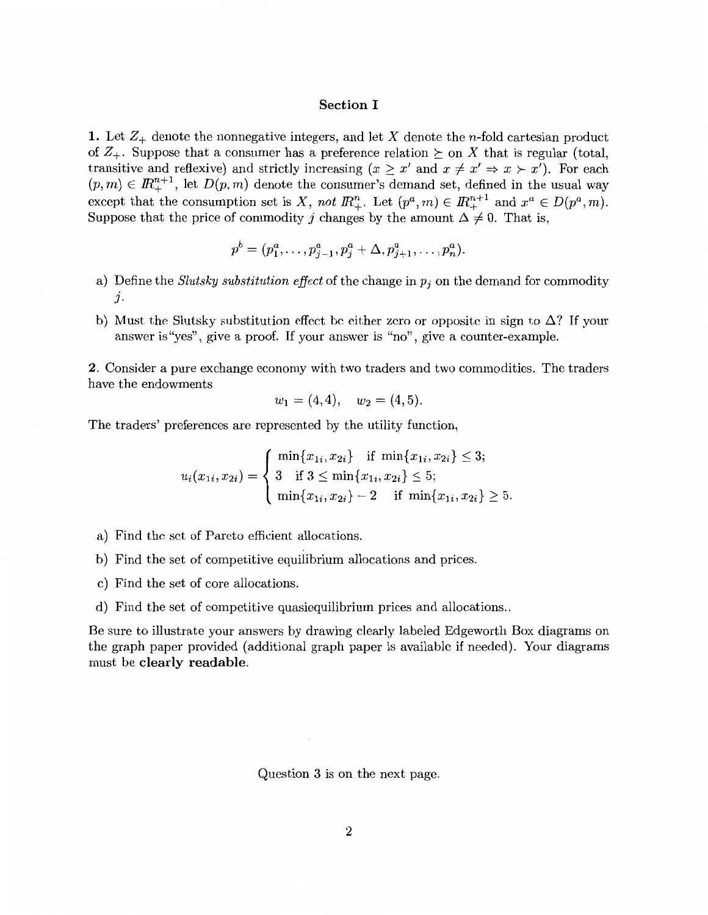## **Section I**

**1.** Let  $Z_+$  denote the nonnegative integers, and let X denote the n-fold cartesian product of  $Z_+$ . Suppose that a consumer has a preference relation  $\succeq$  on X that is regular (total, transitive and reflexive) and strictly increasing  $(x \geq x'$  and  $x \neq x' \Rightarrow x > x'$ ). For each  $(p, m) \in \mathbb{R}^{n+1}_+$ , let  $D(p, m)$  denote the consumer's demand set, defined in the usual way except that the consumption set is *X*, not  $\mathbb{R}^n_+$ . Let  $(p^a, m) \in \mathbb{R}^{n+1}_+$  and  $x^a \in D(p^a, m)$ . Suppose that the price of commodity j changes by the amount  $\Delta \neq 0$ . That is,

$$
p^{b} = (p_{1}^{a}, \ldots, p_{j-1}^{a}, p_{j}^{a} + \Delta, p_{j+1}^{a}, \ldots, p_{n}^{a}).
$$

- a) Define the *Slutsky substitution effect* of the change in  $p_i$  on the demand for commodity *J.*
- b) Must the Slutsky substitution effect be either zero or opposite in sign to  $\Delta$ ? If your answer is "yes", give a proof. If your answer is "no", give a counter-example.

**2.** Consider a pure exchange economy with two traders and two commodities. The traders have the endowments

$$
w_1 = (4, 4), w_2 = (4, 5).
$$

The traders' preferences are represented by the utility function,

$$
u_i(x_{1i}, x_{2i}) = \begin{cases} \min\{x_{1i}, x_{2i}\} & \text{if } \min\{x_{1i}, x_{2i}\} \le 3; \\ 3 & \text{if } 3 \le \min\{x_{1i}, x_{2i}\} \le 5; \\ \min\{x_{1i}, x_{2i}\} - 2 & \text{if } \min\{x_{1i}, x_{2i}\} \ge 5. \end{cases}
$$

- a) Find the set of Pareto efficient allocations.
- b) Find the set of competitive equilibrium allocations and prices.
- c) Find the set of core allocations.
- d) Find the set of competitive quasiequilibrium prices and allocations ..

Be sure to illustrate your answers by drawing clearly labeled Edgeworth Box diagrams on the graph paper provided (additional graph paper is available if needed). Your diagrams must be **clearly readable.** 

Question 3 is on the next page.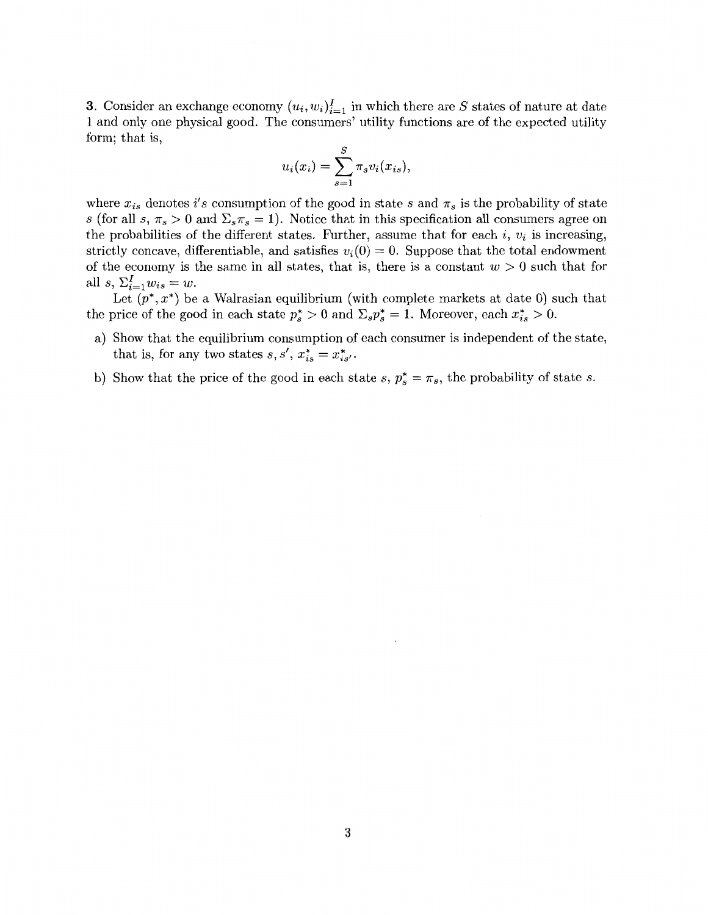3. Consider an exchange economy  $(u_i, w_i)_{i=1}^I$  in which there are S states of nature at date 1 and only one physical good. The consumers' utility functions are of the expected utility form; that is,

$$
u_i(x_i) = \sum_{s=1}^S \pi_s v_i(x_{is}),
$$

where  $x_{is}$  denotes i's consumption of the good in state s and  $\pi_s$  is the probability of state *s* (for all *s*,  $\pi_s > 0$  and  $\Sigma_s \pi_s = 1$ ). Notice that in this specification all consumers agree on the probabilities of the different states. Further, assume that for each  $i, v_i$  is increasing, strictly concave, differentiable, and satisfies  $v_i(0) = 0$ . Suppose that the total endowment of the economy is the same in all states, that is, there is a constant  $w > 0$  such that for all *s*,  $\Sigma_{i=1}^I w_{is} = w$ .

Let  $(p^*, x^*)$  be a Walrasian equilibrium (with complete markets at date 0) such that the price of the good in each state  $p_s^* > 0$  and  $\Sigma_s p_s^* = 1$ . Moreover, each  $x_{is}^* > 0$ .

- a) Show that the equilibrium consumption of each consumer is independent of the state, that is, for any two states  $s, s', x_{is}^* = x_{is'}^*$ .
- b) Show that the price of the good in each state s,  $p_s^* = \pi_s$ , the probability of state s.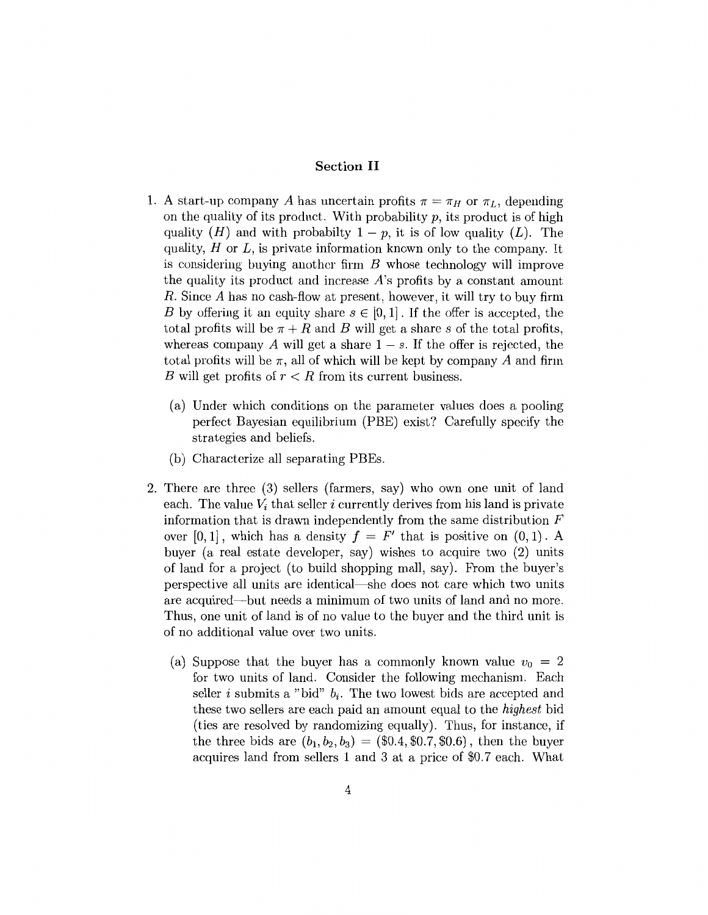## **Section II**

- 1. A start-up company *A* has uncertain profits  $\pi = \pi_H$  or  $\pi_L$ , depending on the quality of its product. With probability  $p$ , its product is of high quality  $(H)$  and with probabilty  $1 - p$ , it is of low quality  $(L)$ . The quality,  $H$  or  $L$ , is private information known only to the company. It is considering buying another firm *B* whose technology will improve the quality its product and increase A's profits by a constant amount *R.* Since *A* has no cash-flow at present, however, it will try to buy firm B by offering it an equity share  $s \in [0, 1]$ . If the offer is accepted, the total profits will be  $\pi + R$  and *B* will get a share *s* of the total profits, whereas company A will get a share  $1 - s$ . If the offer is rejected, the total profits will be  $\pi$ , all of which will be kept by company A and firm *B* will get profits of *r* < *R* from its current business.
	- (a) Under which conditions on the parameter values does a pooling perfect Bayesian equilibrium (PBE) exist? Carefully specify the strategies and beliefs.
	- (b) Characterize all separating PBEs.
- 2. There are three (3) sellers (farmers, say) who own one unit of land each. The value  $V_i$  that seller i currently derives from his land is private information that is drawn independently from the same distribution *F*  over  $[0, 1]$ , which has a density  $f = F'$  that is positive on  $(0, 1)$ . A buyer (a real estate developer, say) wishes to acquire two (2) units of land for a project (to build shopping mall, say). From the buyer's perspective all units are identical-she does not care which two units are acquired-but needs a minimum of two units of land and no more. Thus, one unit of land is of no value to the buyer and the third unit is of no additional value over two units.
	- (a) Suppose that the buyer has a commonly known value  $v_0 = 2$ for two units of land. Consider the following mechanism. Each seller i submits a "bid"  $b_i$ . The two lowest bids are accepted and these two sellers are each paid an amount equal to the *highest* bid (ties are resolved by randomizing equally). Thus, for instance, if the three bids are  $(b_1, b_2, b_3) = (\$0.4, \$0.7, \$0.6)$ , then the buyer acquires land from sellers 1 and 3 at a price of \$0.7 each. What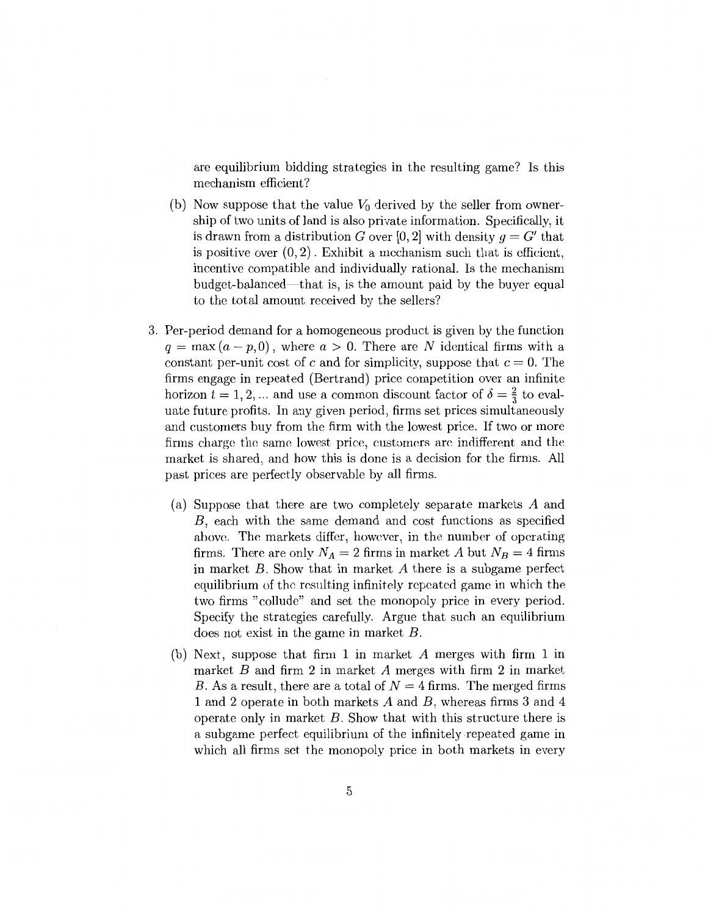are equilibrium bidding strategies in the resulting game? Is this mechanism efficient?

- (b) Now suppose that the value  $V_0$  derived by the seller from ownership of two units of land is also private information. Specifically, it is drawn from a distribution *G* over [0, 2] with density  $g = G'$  that is positive over  $(0, 2)$ . Exhibit a mechanism such that is efficient, incentive compatible and individually rational. Is the mechanism budget-balanced-that is, is the amount paid by the buyer equal to the total amount received by the sellers?
- 3. Per-period demand for a homogeneous product is given by the function  $q = \max(a-p, 0)$ , where  $a > 0$ . There are N identical firms with a constant per-unit cost of c and for simplicity, suppose that  $c = 0$ . The firms engage in repeated (Bertrand) price competition over an infinite horizon  $t = 1, 2, ...$  and use a common discount factor of  $\delta = \frac{2}{3}$  to evaluate future profits. In any given period, firms set prices simultaneously and customers buy from the firm with the lowest price. If two or more firms charge the same lowest price, customers arc indifferent and the market is shared, and how this is done is a decision for the firms. All past prices are perfectly observable by all firms.
	- (a) Suppose that there are two completely separate markets A and B, each with the same demand and cost functions as specified above. The markets differ, however, in the number of operating firms. There are only  $N_A = 2$  firms in market A but  $N_B = 4$  firms in market *B.* Show that in market *A* there is a subgame perfect equilibrium of the resulting infinitely repeated game in which the two firms "collude" and set the monopoly price in every period. Specify the strategies carefully. Argue that such an equilibrium does not exist in the game in market B.
	- (b) Next, suppose that firm 1 in market *A* merges with firm 1 in market *B* and firm 2 in market *A* merges with firm 2 in market B. As a result, there are a total of  $N = 4$  firms. The merged firms 1 and 2 operate in both markets *A* and *B,* whereas firms 3 and 4 operate only in market *B.* Show that with this structure there is a subgame perfect equilibrium of the infinitely repeated game in which all firms set the monopoly price in both markets in every